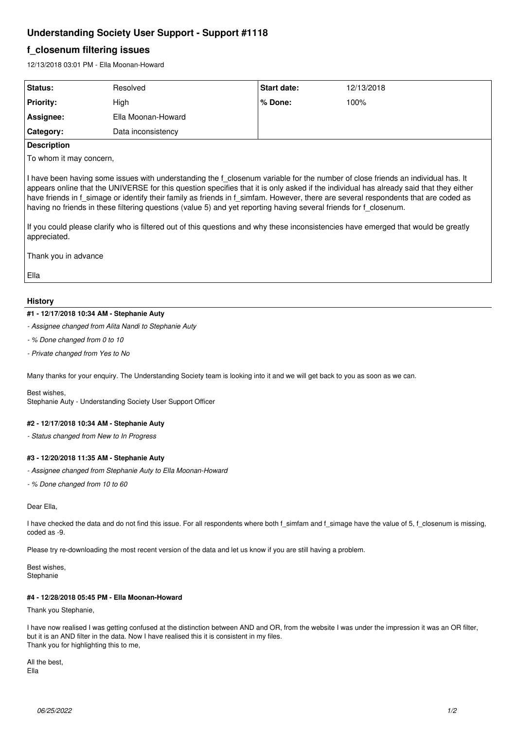# **Understanding Society User Support - Support #1118**

# **f\_closenum filtering issues**

12/13/2018 03:01 PM - Ella Moonan-Howard

| Status:          | Resolved           | <b>Start date:</b> | 12/13/2018 |
|------------------|--------------------|--------------------|------------|
| <b>Priority:</b> | High               | % Done:            | 100%       |
| Assignee:        | Ella Moonan-Howard |                    |            |
| Category:        | Data inconsistency |                    |            |
|                  |                    |                    |            |

#### **Description**

To whom it may concern,

I have been having some issues with understanding the f\_closenum variable for the number of close friends an individual has. It appears online that the UNIVERSE for this question specifies that it is only asked if the individual has already said that they either have friends in f\_simage or identify their family as friends in f\_simfam. However, there are several respondents that are coded as having no friends in these filtering questions (value 5) and yet reporting having several friends for f\_closenum.

If you could please clarify who is filtered out of this questions and why these inconsistencies have emerged that would be greatly appreciated.

Thank you in advance

Ella

### **History**

### **#1 - 12/17/2018 10:34 AM - Stephanie Auty**

*- Assignee changed from Alita Nandi to Stephanie Auty*

- *% Done changed from 0 to 10*
- *Private changed from Yes to No*

Many thanks for your enquiry. The Understanding Society team is looking into it and we will get back to you as soon as we can.

Best wishes, Stephanie Auty - Understanding Society User Support Officer

## **#2 - 12/17/2018 10:34 AM - Stephanie Auty**

*- Status changed from New to In Progress*

### **#3 - 12/20/2018 11:35 AM - Stephanie Auty**

- *Assignee changed from Stephanie Auty to Ella Moonan-Howard*
- *% Done changed from 10 to 60*

#### Dear Ella,

I have checked the data and do not find this issue. For all respondents where both f\_simfam and f\_simage have the value of 5, f\_closenum is missing, coded as -9.

Please try re-downloading the most recent version of the data and let us know if you are still having a problem.

Best wishes, **Stephanie** 

### **#4 - 12/28/2018 05:45 PM - Ella Moonan-Howard**

Thank you Stephanie,

I have now realised I was getting confused at the distinction between AND and OR, from the website I was under the impression it was an OR filter, but it is an AND filter in the data. Now I have realised this it is consistent in my files. Thank you for highlighting this to me,

All the best, Ella